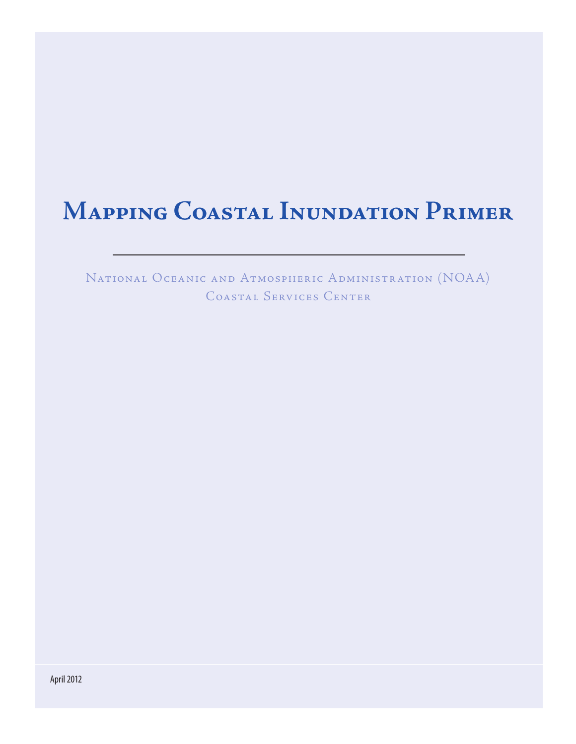# **Mapping Coastal Inundation Primer**

National Oceanic and Atmospheric Administration (NOAA) Coastal Services Center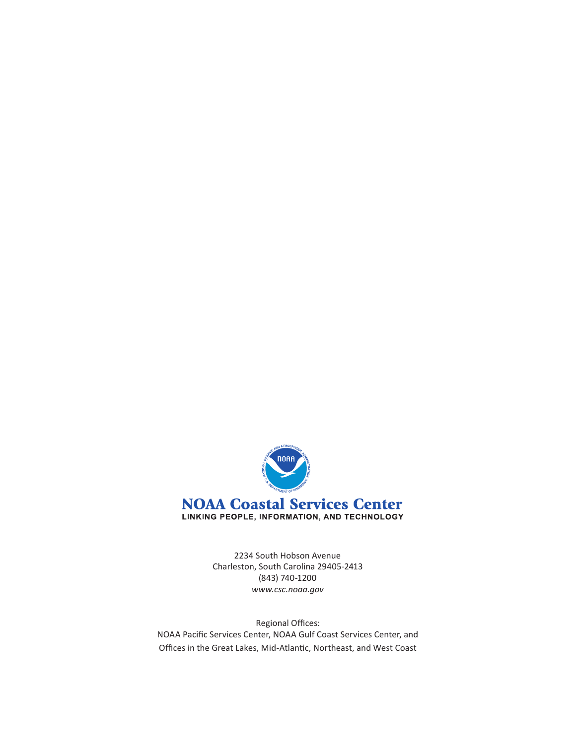

2234 South Hobson Avenue Charleston, South Carolina 29405-2413 (843) 740-1200 *www.csc.noaa.gov*

Regional Offices: NOAA Pacific Services Center, NOAA Gulf Coast Services Center, and Offices in the Great Lakes, Mid-Atlantic, Northeast, and West Coast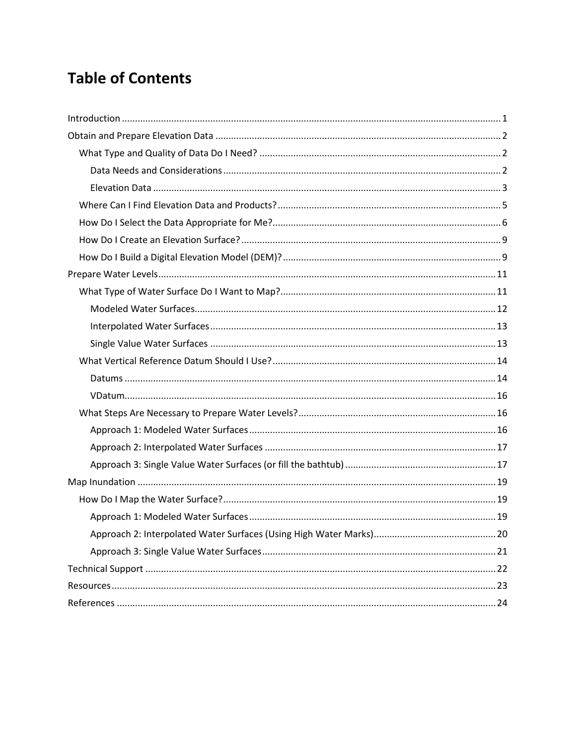## **Table of Contents**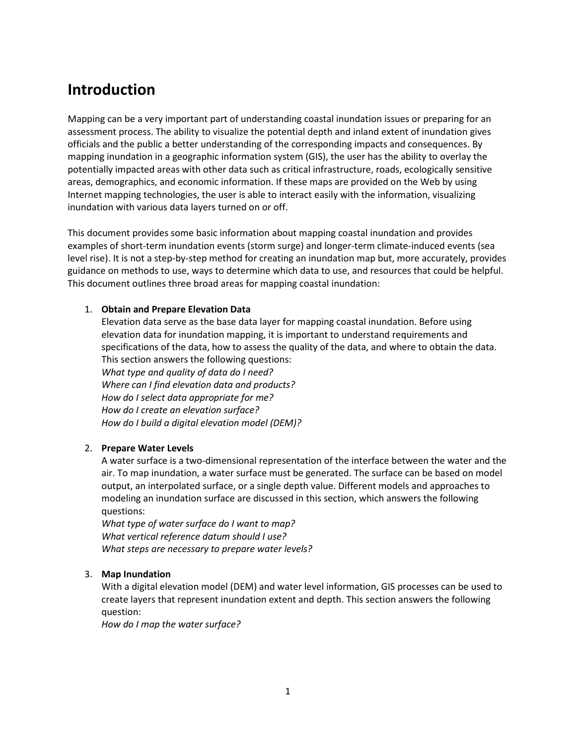## <span id="page-4-0"></span>**Introduction**

Mapping can be a very important part of understanding coastal inundation issues or preparing for an assessment process. The ability to visualize the potential depth and inland extent of inundation gives officials and the public a better understanding of the corresponding impacts and consequences. By mapping inundation in a geographic information system (GIS), the user has the ability to overlay the potentially impacted areas with other data such as critical infrastructure, roads, ecologically sensitive areas, demographics, and economic information. If these maps are provided on the Web by using Internet mapping technologies, the user is able to interact easily with the information, visualizing inundation with various data layers turned on or off.

This document provides some basic information about mapping coastal inundation and provides examples of short-term inundation events (storm surge) and longer-term climate-induced events (sea level rise). It is not a step-by-step method for creating an inundation map but, more accurately, provides guidance on methods to use, ways to determine which data to use, and resources that could be helpful. This document outlines three broad areas for mapping coastal inundation:

#### 1. **Obtain and Prepare Elevation Data**

Elevation data serve as the base data layer for mapping coastal inundation. Before using elevation data for inundation mapping, it is important to understand requirements and specifications of the data, how to assess the quality of the data, and where to obtain the data. This section answers the following questions: *What type and quality of data do I need? Where can I find elevation data and products? How do I select data appropriate for me? How do I create an elevation surface? How do I build a digital elevation model (DEM)?*

#### 2. **Prepare Water Levels**

A water surface is a two-dimensional representation of the interface between the water and the air. To map inundation, a water surface must be generated. The surface can be based on model output, an interpolated surface, or a single depth value. Different models and approaches to modeling an inundation surface are discussed in this section, which answers the following questions:

*What type of water surface do I want to map? What vertical reference datum should I use? What steps are necessary to prepare water levels?*

#### 3. **Map Inundation**

With a digital elevation model (DEM) and water level information, GIS processes can be used to create layers that represent inundation extent and depth. This section answers the following question:

*How do I map the water surface?*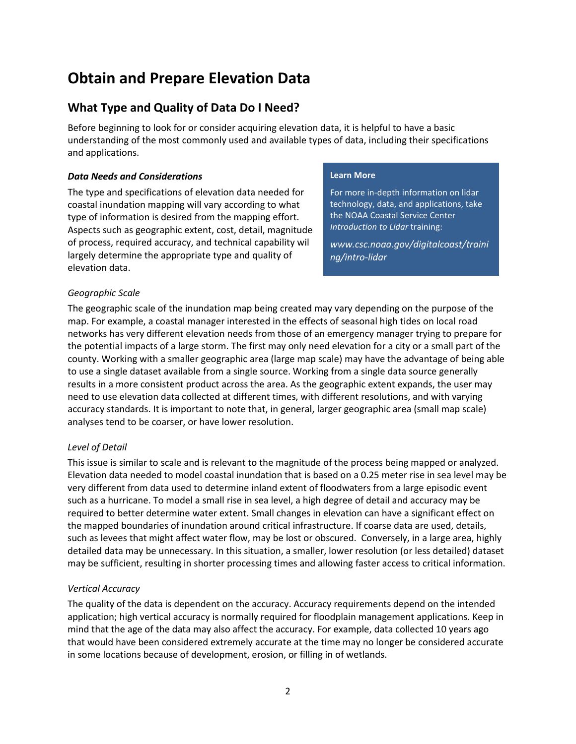## <span id="page-5-0"></span>**Obtain and Prepare Elevation Data**

### <span id="page-5-1"></span>**What Type and Quality of Data Do I Need?**

Before beginning to look for or consider acquiring elevation data, it is helpful to have a basic understanding of the most commonly used and available types of data, including their specifications and applications.

#### <span id="page-5-2"></span>*Data Needs and Considerations*

The type and specifications of elevation data needed for coastal inundation mapping will vary according to what type of information is desired from the mapping effort. Aspects such as geographic extent, cost, detail, magnitude of process, required accuracy, and technical capability will largely determine the appropriate type and quality of elevation data.

#### **Learn More**

For more in-depth information on lidar technology, data, and applications, take the NOAA Coastal Service Center *Introduction to Lidar* training:

*[www.csc.noaa.gov/digitalcoast/traini](http://www.csc.noaa.gov/digitalcoast/training/intro-lidar) [ng/intro-lidar](http://www.csc.noaa.gov/digitalcoast/training/intro-lidar)*

#### *Geographic Scale*

The geographic scale of the inundation map being created may vary depending on the purpose of the map. For example, a coastal manager interested in the effects of seasonal high tides on local road networks has very different elevation needs from those of an emergency manager trying to prepare for the potential impacts of a large storm. The first may only need elevation for a city or a small part of the county. Working with a smaller geographic area (large map scale) may have the advantage of being able to use a single dataset available from a single source. Working from a single data source generally results in a more consistent product across the area. As the geographic extent expands, the user may need to use elevation data collected at different times, with different resolutions, and with varying accuracy standards. It is important to note that, in general, larger geographic area (small map scale) analyses tend to be coarser, or have lower resolution.

#### *Level of Detail*

This issue is similar to scale and is relevant to the magnitude of the process being mapped or analyzed. Elevation data needed to model coastal inundation that is based on a 0.25 meter rise in sea level may be very different from data used to determine inland extent of floodwaters from a large episodic event such as a hurricane. To model a small rise in sea level, a high degree of detail and accuracy may be required to better determine water extent. Small changes in elevation can have a significant effect on the mapped boundaries of inundation around critical infrastructure. If coarse data are used, details, such as levees that might affect water flow, may be lost or obscured. Conversely, in a large area, highly detailed data may be unnecessary. In this situation, a smaller, lower resolution (or less detailed) dataset may be sufficient, resulting in shorter processing times and allowing faster access to critical information.

#### *Vertical Accuracy*

The quality of the data is dependent on the accuracy. Accuracy requirements depend on the intended application; high vertical accuracy is normally required for floodplain management applications. Keep in mind that the age of the data may also affect the accuracy. For example, data collected 10 years ago that would have been considered extremely accurate at the time may no longer be considered accurate in some locations because of development, erosion, or filling in of wetlands.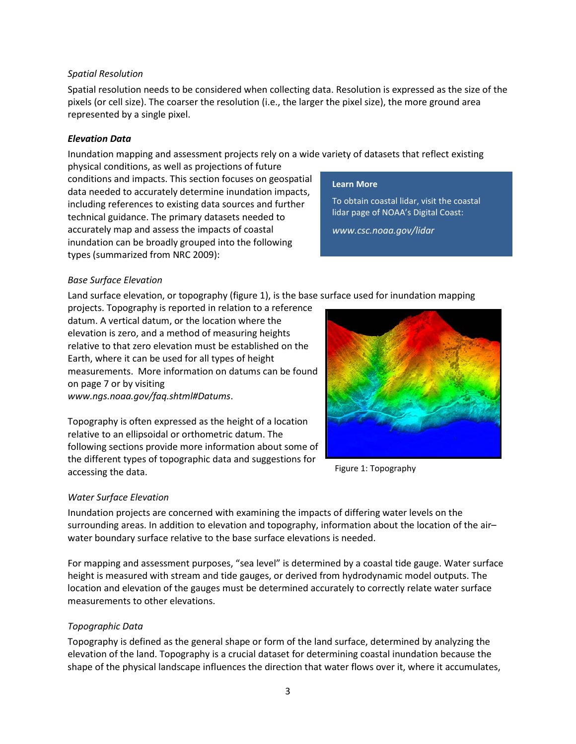#### 3

#### *Spatial Resolution*

Spatial resolution needs to be considered when collecting data. Resolution is expressed as the size of the pixels (or cell size). The coarser the resolution (i.e., the larger the pixel size), the more ground area represented by a single pixel.

#### <span id="page-6-0"></span>*Elevation Data*

Inundation mapping and assessment projects rely on a wide variety of datasets that reflect existing physical conditions, as well as projections of future

conditions and impacts. This section focuses on geospatial data needed to accurately determine inundation impacts, including references to existing data sources and further technical guidance. The primary datasets needed to accurately map and assess the impacts of coastal inundation can be broadly grouped into the following types (summarized from NRC 2009):

#### **Learn More**

To obtain coastal lidar, visit the coastal lidar page of NOAA's Digital Coast:

*www.csc.noaa.gov/lidar*

#### *Base Surface Elevation*

Land surface elevation, or topography (figure 1), is the base surface used for inundation mapping

projects. Topography is reported in relation to a reference datum. A vertical datum, or the location where the elevation is zero, and a method of measuring heights relative to that zero elevation must be established on the Earth, where it can be used for all types of height measurements. More information on datums can be found on page 7 or by visiting

*www.ngs.noaa.gov/faq.shtml#Datums*.

Topography is often expressed as the height of a location relative to an ellipsoidal or orthometric datum. The following sections provide more information about some of the different types of topographic data and suggestions for accessing the data.

#### *Water Surface Elevation*

Inundation projects are concerned with examining the impacts of differing water levels on the surrounding areas. In addition to elevation and topography, information about the location of the air– water boundary surface relative to the base surface elevations is needed.

For mapping and assessment purposes, "sea level" is determined by a coastal tide gauge. Water surface height is measured with stream and tide gauges, or derived from hydrodynamic model outputs. The location and elevation of the gauges must be determined accurately to correctly relate water surface measurements to other elevations.

#### *Topographic Data*

Topography is defined as the general shape or form of the land surface, determined by analyzing the elevation of the land. Topography is a crucial dataset for determining coastal inundation because the shape of the physical landscape influences the direction that water flows over it, where it accumulates,



Figure 1: Topography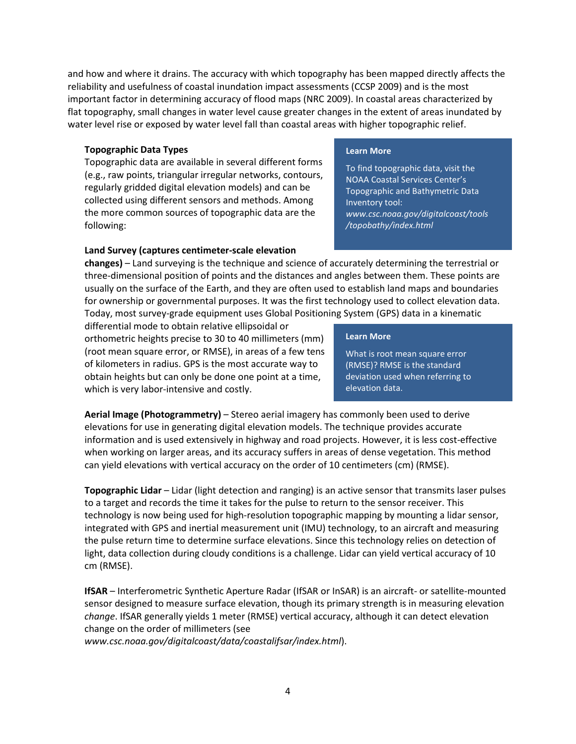and how and where it drains. The accuracy with which topography has been mapped directly affects the reliability and usefulness of coastal inundation impact assessments (CCSP 2009) and is the most important factor in determining accuracy of flood maps (NRC 2009). In coastal areas characterized by flat topography, small changes in water level cause greater changes in the extent of areas inundated by water level rise or exposed by water level fall than coastal areas with higher topographic relief.

#### **Topographic Data Types**

Topographic data are available in several different forms (e.g., raw points, triangular irregular networks, contours, regularly gridded digital elevation models) and can be collected using different sensors and methods. Among the more common sources of topographic data are the following:

#### **Land Survey (captures centimeter-scale elevation**

**changes)** – Land surveying is the technique and science of accurately determining the terrestrial or three-dimensional position of points and the distances and angles between them. These points are usually on the surface of the Earth, and they are often used to establish land maps and boundaries for ownership or governmental purposes. It was the first technology used to collect elevation data. Today, most survey-grade equipment uses Global Positioning System (GPS) data in a kinematic

differential mode to obtain relative ellipsoidal or orthometric heights precise to 30 to 40 millimeters (mm) (root mean square error, or RMSE), in areas of a few tens of kilometers in radius. GPS is the most accurate way to obtain heights but can only be done one point at a time, which is very labor-intensive and costly.

#### **Learn More**

What is root mean square error (RMSE)? RMSE is the standard deviation used when referring to elevation data.

**Aerial Image (Photogrammetry)** – Stereo aerial imagery has commonly been used to derive elevations for use in generating digital elevation models. The technique provides accurate information and is used extensively in highway and road projects. However, it is less cost-effective when working on larger areas, and its accuracy suffers in areas of dense vegetation. This method can yield elevations with vertical accuracy on the order of 10 centimeters (cm) (RMSE).

**Topographic Lidar** – Lidar (light detection and ranging) is an active sensor that transmits laser pulses to a target and records the time it takes for the pulse to return to the sensor receiver. This technology is now being used for high-resolution topographic mapping by mounting a lidar sensor, integrated with GPS and inertial measurement unit (IMU) technology, to an aircraft and measuring the pulse return time to determine surface elevations. Since this technology relies on detection of light, data collection during cloudy conditions is a challenge. Lidar can yield vertical accuracy of 10 cm (RMSE).

**IfSAR** – Interferometric Synthetic Aperture Radar (IfSAR or InSAR) is an aircraft- or satellite-mounted sensor designed to measure surface elevation, though its primary strength is in measuring elevation *change*. IfSAR generally yields 1 meter (RMSE) vertical accuracy, although it can detect elevation change on the order of millimeters (see

*www.csc.noaa.gov/digitalcoast/data/coastalifsar/index.html*).

#### **Learn More**

To find topographic data, visit the NOAA Coastal Services Center's Topographic and Bathymetric Data Inventory tool: *www.csc.noaa.gov/digitalcoast/tools /topobathy/index.html*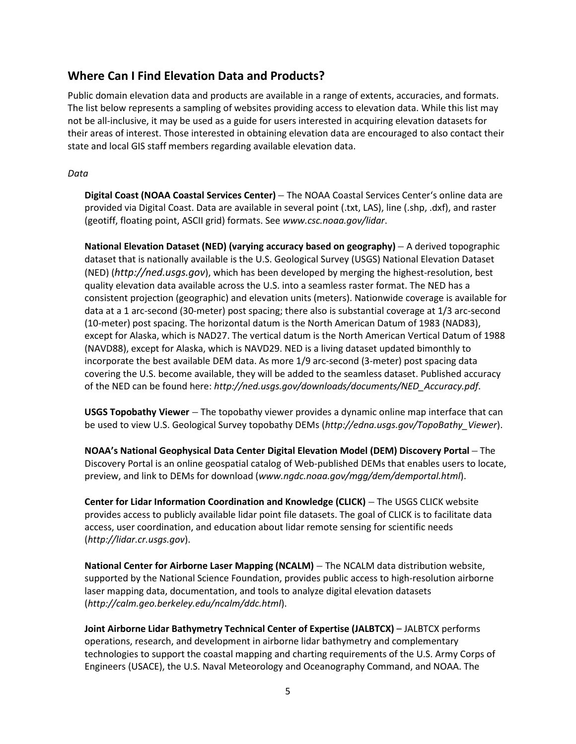### <span id="page-8-0"></span>**Where Can I Find Elevation Data and Products?**

Public domain elevation data and products are available in a range of extents, accuracies, and formats. The list below represents a sampling of websites providing access to elevation data. While this list may not be all-inclusive, it may be used as a guide for users interested in acquiring elevation datasets for their areas of interest. Those interested in obtaining elevation data are encouraged to also contact their state and local GIS staff members regarding available elevation data.

#### *Data*

**Digital Coast (NOAA Coastal Services Center)** – The NOAA Coastal Services Center's online data are provided via Digital Coast. Data are available in several point (.txt, LAS), line (.shp, .dxf), and raster (geotiff, floating point, ASCII grid) formats. See *www.csc.noaa.gov/lidar*.

**National Elevation Dataset (NED) (varying accuracy based on geography)** – A derived topographic dataset that is nationally available is the U.S. Geological Survey (USGS) National Elevation Dataset (NED) (*http://ned.usgs.gov*), which has been developed by merging the highest-resolution, best quality elevation data available across the U.S. into a seamless raster format. The NED has a consistent projection (geographic) and elevation units (meters). Nationwide coverage is available for data at a 1 arc-second (30-meter) post spacing; there also is substantial coverage at 1/3 arc-second (10-meter) post spacing. The horizontal datum is the North American Datum of 1983 (NAD83), except for Alaska, which is NAD27. The vertical datum is the North American Vertical Datum of 1988 (NAVD88), except for Alaska, which is NAVD29. NED is a living dataset updated bimonthly to incorporate the best available DEM data. As more 1/9 arc-second (3-meter) post spacing data covering the U.S. become available, they will be added to the seamless dataset. Published accuracy of the NED can be found here: *http://ned.usgs.gov/downloads/documents/NED\_Accuracy.pdf*.

**USGS Topobathy Viewer** – The topobathy viewer provides a dynamic online map interface that can be used to view U.S. Geological Survey topobathy DEMs (*http://edna.usgs.gov/TopoBathy\_Viewer*).

**NOAA's National Geophysical Data Center Digital Elevation Model (DEM) Discovery Portal** – The Discovery Portal is an online geospatial catalog of Web-published DEMs that enables users to locate, preview, and link to DEMs for download (*www.ngdc.noaa.gov/mgg/dem/demportal.html*).

**Center for Lidar Information Coordination and Knowledge (CLICK)** – The USGS CLICK website provides access to publicly available lidar point file datasets. The goal of CLICK is to facilitate data access, user coordination, and education about lidar remote sensing for scientific needs (*http://lidar.cr.usgs.gov*).

**National Center for Airborne Laser Mapping (NCALM)** – The NCALM data distribution website, supported by the National Science Foundation, provides public access to high-resolution airborne laser mapping data, documentation, and tools to analyze digital elevation datasets (*http://calm.geo.berkeley.edu/ncalm/ddc.html*).

**Joint Airborne Lidar Bathymetry Technical Center of Expertise (JALBTCX)** – JALBTCX performs operations, research, and development in airborne lidar bathymetry and complementary technologies to support the coastal mapping and charting requirements of the U.S. Army Corps of Engineers (USACE), the U.S. Naval Meteorology and Oceanography Command, and NOAA. The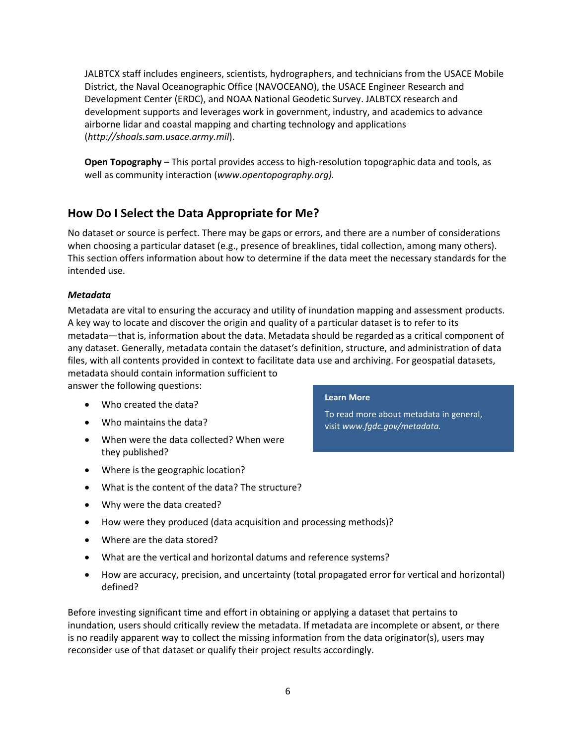JALBTCX staff includes engineers, scientists, hydrographers, and technicians from the USACE Mobile District, the Naval Oceanographic Office (NAVOCEANO), the USACE Engineer Research and Development Center (ERDC), and NOAA National Geodetic Survey. JALBTCX research and development supports and leverages work in government, industry, and academics to advance airborne lidar and coastal mapping and charting technology and applications (*http://shoals.sam.usace.army.mil*).

**Open Topography** – This portal provides access to high-resolution topographic data and tools, as well as community interaction (*www.opentopography.org).*

### <span id="page-9-0"></span>**How Do I Select the Data Appropriate for Me?**

No dataset or source is perfect. There may be gaps or errors, and there are a number of considerations when choosing a particular dataset (e.g., presence of breaklines, tidal collection, among many others). This section offers information about how to determine if the data meet the necessary standards for the intended use.

#### *Metadata*

Metadata are vital to ensuring the accuracy and utility of inundation mapping and assessment products. A key way to locate and discover the origin and quality of a particular dataset is to refer to its metadata—that is, information about the data. Metadata should be regarded as a critical component of any dataset. Generally, metadata contain the dataset's definition, structure, and administration of data files, with all contents provided in context to facilitate data use and archiving. For geospatial datasets,

metadata should contain information sufficient to answer the following questions:

- Who created the data?
- Who maintains the data?
- When were the data collected? When were they published?
- Where is the geographic location?
- What is the content of the data? The structure?
- Why were the data created?

### • How were they produced (data acquisition and processing methods)?

- Where are the data stored?
- What are the vertical and horizontal datums and reference systems?
- How are accuracy, precision, and uncertainty (total propagated error for vertical and horizontal) defined?

Before investing significant time and effort in obtaining or applying a dataset that pertains to inundation, users should critically review the metadata. If metadata are incomplete or absent, or there is no readily apparent way to collect the missing information from the data originator(s), users may reconsider use of that dataset or qualify their project results accordingly.

#### **Learn More**

To read more about metadata in general, visit *www.fgdc.gov/metadata.*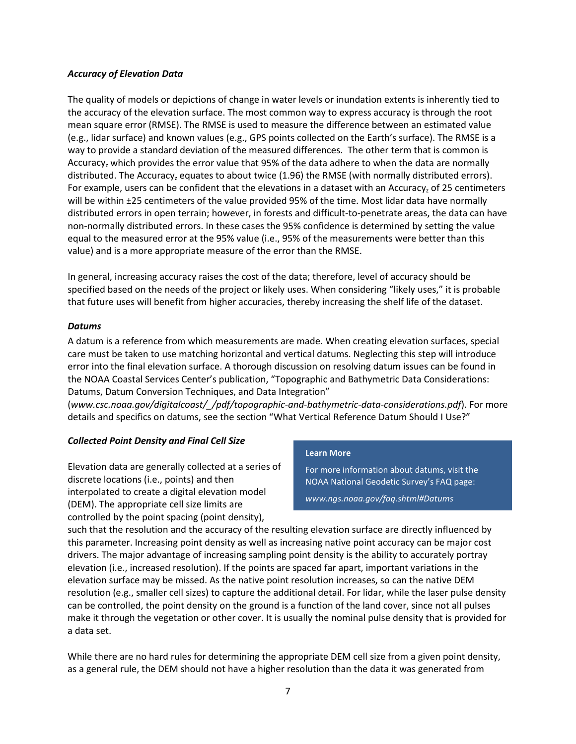#### *Accuracy of Elevation Data*

The quality of models or depictions of change in water levels or inundation extents is inherently tied to the accuracy of the elevation surface. The most common way to express accuracy is through the root mean square error (RMSE). The RMSE is used to measure the difference between an estimated value (e.g., lidar surface) and known values (e.g., GPS points collected on the Earth's surface). The RMSE is a way to provide a standard deviation of the measured differences. The other term that is common is Accuracy, which provides the error value that 95% of the data adhere to when the data are normally distributed. The Accuracy<sub>z</sub> equates to about twice (1.96) the RMSE (with normally distributed errors). For example, users can be confident that the elevations in a dataset with an Accuracy, of 25 centimeters will be within ±25 centimeters of the value provided 95% of the time. Most lidar data have normally distributed errors in open terrain; however, in forests and difficult-to-penetrate areas, the data can have non-normally distributed errors. In these cases the 95% confidence is determined by setting the value equal to the measured error at the 95% value (i.e., 95% of the measurements were better than this value) and is a more appropriate measure of the error than the RMSE.

In general, increasing accuracy raises the cost of the data; therefore, level of accuracy should be specified based on the needs of the project or likely uses. When considering "likely uses," it is probable that future uses will benefit from higher accuracies, thereby increasing the shelf life of the dataset.

#### *Datums*

A datum is a reference from which measurements are made. When creating elevation surfaces, special care must be taken to use matching horizontal and vertical datums. Neglecting this step will introduce error into the final elevation surface. A thorough discussion on resolving datum issues can be found in the NOAA Coastal Services Center's publication, "Topographic and Bathymetric Data Considerations: Datums, Datum Conversion Techniques, and Data Integration"

(*www.csc.noaa.gov/digitalcoast/\_/pdf/topographic-and-bathymetric-data-considerations.pdf*). For more details and specifics on datums, see the section "What Vertical Reference Datum Should I Use?"

#### *Collected Point Density and Final Cell Size*

Elevation data are generally collected at a series of discrete locations (i.e., points) and then interpolated to create a digital elevation model (DEM). The appropriate cell size limits are controlled by the point spacing (point density),

#### **Learn More**

For more information about datums, visit the NOAA National Geodetic Survey's FAQ page:

*www.ngs.noaa.gov/faq.shtml#Datums*

such that the resolution and the accuracy of the resulting elevation surface are directly influenced by this parameter. Increasing point density as well as increasing native point accuracy can be major cost drivers. The major advantage of increasing sampling point density is the ability to accurately portray elevation (i.e., increased resolution). If the points are spaced far apart, important variations in the elevation surface may be missed. As the native point resolution increases, so can the native DEM resolution (e.g., smaller cell sizes) to capture the additional detail. For lidar, while the laser pulse density can be controlled, the point density on the ground is a function of the land cover, since not all pulses make it through the vegetation or other cover. It is usually the nominal pulse density that is provided for a data set.

While there are no hard rules for determining the appropriate DEM cell size from a given point density, as a general rule, the DEM should not have a higher resolution than the data it was generated from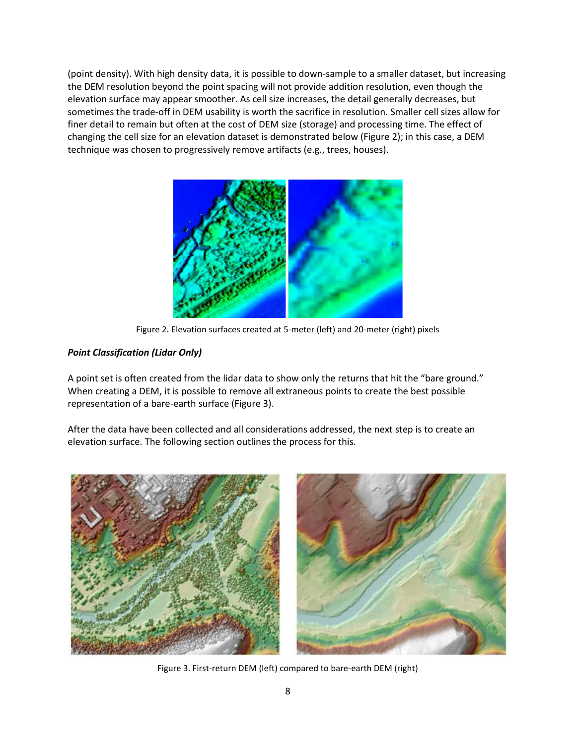(point density). With high density data, it is possible to down-sample to a smaller dataset, but increasing the DEM resolution beyond the point spacing will not provide addition resolution, even though the elevation surface may appear smoother. As cell size increases, the detail generally decreases, but sometimes the trade-off in DEM usability is worth the sacrifice in resolution. Smaller cell sizes allow for finer detail to remain but often at the cost of DEM size (storage) and processing time. The effect of changing the cell size for an elevation dataset is demonstrated below (Figure 2); in this case, a DEM technique was chosen to progressively remove artifacts (e.g., trees, houses).



Figure 2. Elevation surfaces created at 5-meter (left) and 20-meter (right) pixels

### *Point Classification (Lidar Only)*

A point set is often created from the lidar data to show only the returns that hit the "bare ground." When creating a DEM, it is possible to remove all extraneous points to create the best possible representation of a bare-earth surface (Figure 3).

After the data have been collected and all considerations addressed, the next step is to create an elevation surface. The following section outlines the process for this.



Figure 3. First-return DEM (left) compared to bare-earth DEM (right)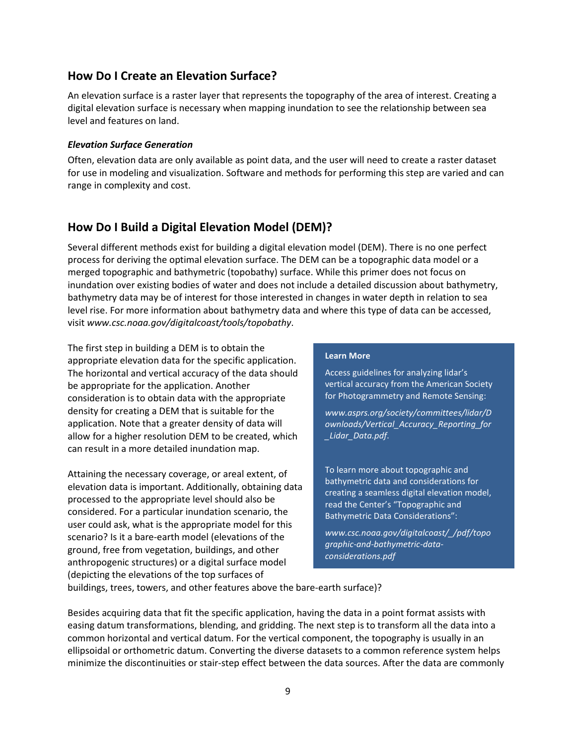### <span id="page-12-0"></span>**How Do I Create an Elevation Surface?**

An elevation surface is a raster layer that represents the topography of the area of interest. Creating a digital elevation surface is necessary when mapping inundation to see the relationship between sea level and features on land.

#### *Elevation Surface Generation*

Often, elevation data are only available as point data, and the user will need to create a raster dataset for use in modeling and visualization. Software and methods for performing this step are varied and can range in complexity and cost.

### <span id="page-12-1"></span>**How Do I Build a Digital Elevation Model (DEM)?**

Several different methods exist for building a digital elevation model (DEM). There is no one perfect process for deriving the optimal elevation surface. The DEM can be a topographic data model or a merged topographic and bathymetric (topobathy) surface. While this primer does not focus on inundation over existing bodies of water and does not include a detailed discussion about bathymetry, bathymetry data may be of interest for those interested in changes in water depth in relation to sea level rise. For more information about bathymetry data and where this type of data can be accessed, visit *www.csc.noaa.gov/digitalcoast/tools/topobathy*.

The first step in building a DEM is to obtain the appropriate elevation data for the specific application. The horizontal and vertical accuracy of the data should be appropriate for the application. Another consideration is to obtain data with the appropriate density for creating a DEM that is suitable for the application. Note that a greater density of data will allow for a higher resolution DEM to be created, which can result in a more detailed inundation map.

Attaining the necessary coverage, or areal extent, of elevation data is important. Additionally, obtaining data processed to the appropriate level should also be considered. For a particular inundation scenario, the user could ask, what is the appropriate model for this scenario? Is it a bare-earth model (elevations of the ground, free from vegetation, buildings, and other anthropogenic structures) or a digital surface model (depicting the elevations of the top surfaces of

#### **Learn More**

Access guidelines for analyzing lidar's vertical accuracy from the American Society for Photogrammetry and Remote Sensing:

*www.asprs.org/society/committees/lidar/D ownloads/Vertical\_Accuracy\_Reporting\_for \_Lidar\_Data.pdf*.

To learn more about topographic and bathymetric data and considerations for creating a seamless digital elevation model, read the Center's "Topographic and Bathymetric Data Considerations":

*www.csc.noaa.gov/digitalcoast/\_/pdf/topo graphic-and-bathymetric-dataconsiderations.pdf*

buildings, trees, towers, and other features above the bare-earth surface)?

Besides acquiring data that fit the specific application, having the data in a point format assists with easing datum transformations, blending, and gridding. The next step is to transform all the data into a common horizontal and vertical datum. For the vertical component, the topography is usually in an ellipsoidal or orthometric datum. Converting the diverse datasets to a common reference system helps minimize the discontinuities or stair-step effect between the data sources. After the data are commonly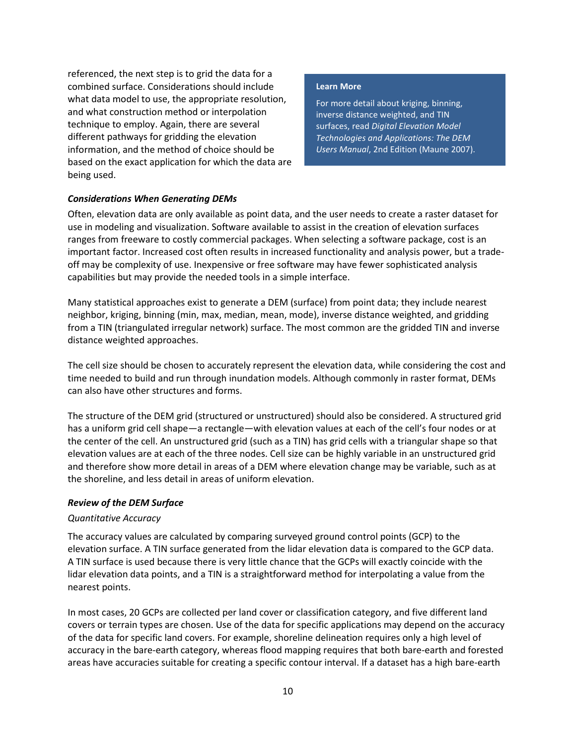referenced, the next step is to grid the data for a combined surface. Considerations should include what data model to use, the appropriate resolution, and what construction method or interpolation technique to employ. Again, there are several different pathways for gridding the elevation information, and the method of choice should be based on the exact application for which the data are being used.

#### **Learn More**

For more detail about kriging, binning, inverse distance weighted, and TIN surfaces, read *Digital Elevation Model Technologies and Applications: The DEM Users Manual*, 2nd Edition (Maune 2007).

#### *Considerations When Generating DEMs*

Often, elevation data are only available as point data, and the user needs to create a raster dataset for use in modeling and visualization. Software available to assist in the creation of elevation surfaces ranges from freeware to costly commercial packages. When selecting a software package, cost is an important factor. Increased cost often results in increased functionality and analysis power, but a tradeoff may be complexity of use. Inexpensive or free software may have fewer sophisticated analysis capabilities but may provide the needed tools in a simple interface.

Many statistical approaches exist to generate a DEM (surface) from point data; they include nearest neighbor, kriging, binning (min, max, median, mean, mode), inverse distance weighted, and gridding from a TIN (triangulated irregular network) surface. The most common are the gridded TIN and inverse distance weighted approaches.

The cell size should be chosen to accurately represent the elevation data, while considering the cost and time needed to build and run through inundation models. Although commonly in raster format, DEMs can also have other structures and forms.

The structure of the DEM grid (structured or unstructured) should also be considered. A structured grid has a uniform grid cell shape—a rectangle—with elevation values at each of the cell's four nodes or at the center of the cell. An unstructured grid (such as a TIN) has grid cells with a triangular shape so that elevation values are at each of the three nodes. Cell size can be highly variable in an unstructured grid and therefore show more detail in areas of a DEM where elevation change may be variable, such as at the shoreline, and less detail in areas of uniform elevation.

#### *Review of the DEM Surface*

#### *Quantitative Accuracy*

The accuracy values are calculated by comparing surveyed ground control points (GCP) to the elevation surface. A TIN surface generated from the lidar elevation data is compared to the GCP data. A TIN surface is used because there is very little chance that the GCPs will exactly coincide with the lidar elevation data points, and a TIN is a straightforward method for interpolating a value from the nearest points.

In most cases, 20 GCPs are collected per land cover or classification category, and five different land covers or terrain types are chosen. Use of the data for specific applications may depend on the accuracy of the data for specific land covers. For example, shoreline delineation requires only a high level of accuracy in the bare-earth category, whereas flood mapping requires that both bare-earth and forested areas have accuracies suitable for creating a specific contour interval. If a dataset has a high bare-earth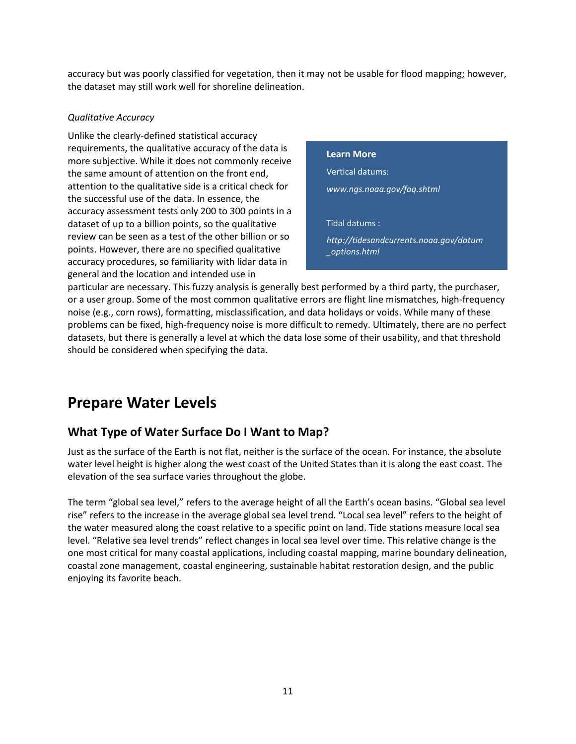accuracy but was poorly classified for vegetation, then it may not be usable for flood mapping; however, the dataset may still work well for shoreline delineation.

#### *Qualitative Accuracy*

Unlike the clearly-defined statistical accuracy requirements, the qualitative accuracy of the data is more subjective. While it does not commonly receive the same amount of attention on the front end, attention to the qualitative side is a critical check for the successful use of the data. In essence, the accuracy assessment tests only 200 to 300 points in a dataset of up to a billion points, so the qualitative review can be seen as a test of the other billion or so points. However, there are no specified qualitative accuracy procedures, so familiarity with lidar data in general and the location and intended use in

#### **Learn More**

Vertical datums: *www.ngs.noaa.gov/faq.shtml*

Tidal datums :

*http://tidesandcurrents.noaa.gov/datum \_options.html*

particular are necessary. This fuzzy analysis is generally best performed by a third party, the purchaser, or a user group. Some of the most common qualitative errors are flight line mismatches, high-frequency noise (e.g., corn rows), formatting, misclassification, and data holidays or voids. While many of these problems can be fixed, high-frequency noise is more difficult to remedy. Ultimately, there are no perfect datasets, but there is generally a level at which the data lose some of their usability, and that threshold should be considered when specifying the data.

## <span id="page-14-0"></span>**Prepare Water Levels**

### <span id="page-14-1"></span>**What Type of Water Surface Do I Want to Map?**

Just as the surface of the Earth is not flat, neither is the surface of the ocean. For instance, the absolute water level height is higher along the west coast of the United States than it is along the east coast. The elevation of the sea surface varies throughout the globe.

The term "global sea level," refers to the average height of all the Earth's ocean basins. "Global sea level rise" refers to the increase in the average global sea level trend. "Local sea level" refers to the height of the water measured along the coast relative to a specific point on land. Tide stations measure local sea level. "Relative sea level trends" reflect changes in local sea level over time. This relative change is the one most critical for many coastal applications, including coastal mapping, marine boundary delineation, coastal zone management, coastal engineering, sustainable habitat restoration design, and the public enjoying its favorite beach.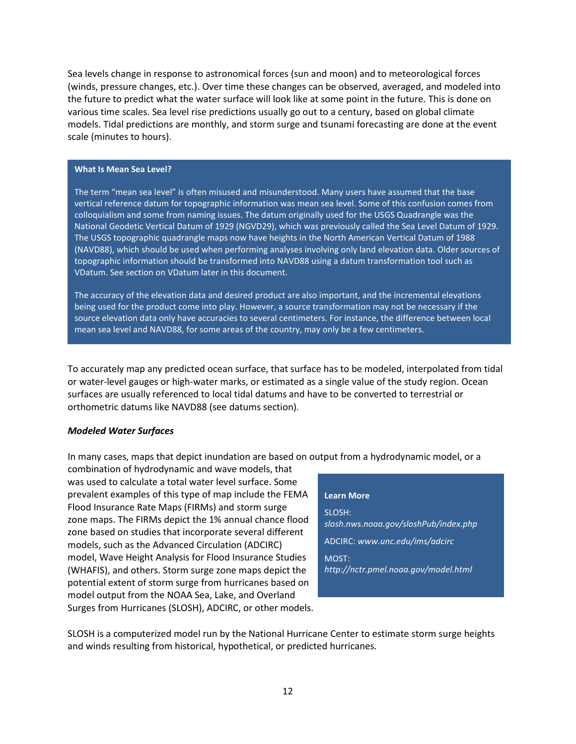Sea levels change in response to astronomical forces (sun and moon) and to meteorological forces (winds, pressure changes, etc.). Over time these changes can be observed, averaged, and modeled into the future to predict what the water surface will look like at some point in the future. This is done on various time scales. Sea level rise predictions usually go out to a century, based on global climate models. Tidal predictions are monthly, and storm surge and tsunami forecasting are done at the event scale (minutes to hours).

#### **What Is Mean Sea Level?**

The term "mean sea level" is often misused and misunderstood. Many users have assumed that the base vertical reference datum for topographic information was mean sea level. Some of this confusion comes from colloquialism and some from naming issues. The datum originally used for the USGS Quadrangle was the National Geodetic Vertical Datum of 1929 (NGVD29), which was previously called the Sea Level Datum of 1929. The USGS topographic quadrangle maps now have heights in the North American Vertical Datum of 1988 (NAVD88), which should be used when performing analyses involving only land elevation data. Older sources of topographic information should be transformed into NAVD88 using a datum transformation tool such as VDatum. See section on VDatum later in this document.

The accuracy of the elevation data and desired product are also important, and the incremental elevations being used for the product come into play. However, a source transformation may not be necessary if the source elevation data only have accuracies to several centimeters. For instance, the difference between local mean sea level and NAVD88, for some areas of the country, may only be a few centimeters.

To accurately map any predicted ocean surface, that surface has to be modeled, interpolated from tidal or water-level gauges or high-water marks, or estimated as a single value of the study region. Ocean surfaces are usually referenced to local tidal datums and have to be converted to terrestrial or orthometric datums like NAVD88 (see datums section).

#### *Modeled Water Surfaces*

In many cases, maps that depict inundation are based on output from a hydrodynamic model, or a

combination of hydrodynamic and wave models, that was used to calculate a total water level surface. Some prevalent examples of this type of map include the FEMA Flood Insurance Rate Maps (FIRMs) and storm surge zone maps. The FIRMs depict the 1% annual chance flood zone based on studies that incorporate several different models, such as the Advanced Circulation (ADCIRC) model, Wave Height Analysis for Flood Insurance Studies (WHAFIS), and others. Storm surge zone maps depict the potential extent of storm surge from hurricanes based on model output from the NOAA Sea, Lake, and Overland Surges from Hurricanes (SLOSH), ADCIRC, or other models.

#### <span id="page-15-0"></span>**Learn More**

SLOSH: *slosh.nws.noaa.gov/sloshPub/index.php* ADCIRC: *www.unc.edu/ims/adcirc* MOST: *http://nctr.pmel.noaa.gov/model.html*

SLOSH is a computerized model run by the National Hurricane Center to estimate storm surge heights and winds resulting from historical, hypothetical, or predicted hurricanes.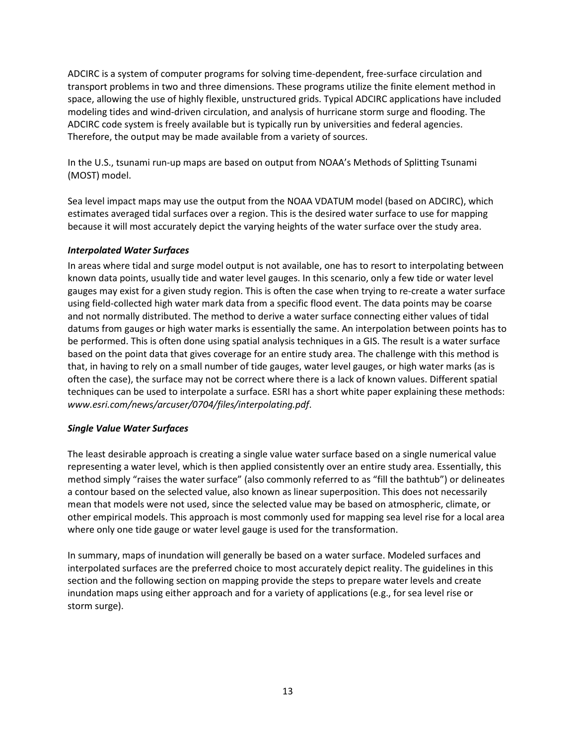ADCIRC is a system of computer programs for solving time-dependent, free-surface circulation and transport problems in two and three dimensions. These programs utilize the finite element method in space, allowing the use of highly flexible, unstructured grids. Typical ADCIRC applications have included modeling tides and wind-driven circulation, and analysis of hurricane storm surge and flooding. The ADCIRC code system is freely available but is typically run by universities and federal agencies. Therefore, the output may be made available from a variety of sources.

In the U.S., tsunami run-up maps are based on output from NOAA's Methods of Splitting Tsunami (MOST) model.

Sea level impact maps may use the output from the NOAA VDATUM model (based on ADCIRC), which estimates averaged tidal surfaces over a region. This is the desired water surface to use for mapping because it will most accurately depict the varying heights of the water surface over the study area.

#### <span id="page-16-0"></span>*Interpolated Water Surfaces*

In areas where tidal and surge model output is not available, one has to resort to interpolating between known data points, usually tide and water level gauges. In this scenario, only a few tide or water level gauges may exist for a given study region. This is often the case when trying to re-create a water surface using field-collected high water mark data from a specific flood event. The data points may be coarse and not normally distributed. The method to derive a water surface connecting either values of tidal datums from gauges or high water marks is essentially the same. An interpolation between points has to be performed. This is often done using spatial analysis techniques in a GIS. The result is a water surface based on the point data that gives coverage for an entire study area. The challenge with this method is that, in having to rely on a small number of tide gauges, water level gauges, or high water marks (as is often the case), the surface may not be correct where there is a lack of known values. Different spatial techniques can be used to interpolate a surface. ESRI has a short white paper explaining these methods: *www.esri.com/news/arcuser/0704/files/interpolating.pdf*.

#### <span id="page-16-1"></span>*Single Value Water Surfaces*

The least desirable approach is creating a single value water surface based on a single numerical value representing a water level, which is then applied consistently over an entire study area. Essentially, this method simply "raises the water surface" (also commonly referred to as "fill the bathtub") or delineates a contour based on the selected value, also known as linear superposition. This does not necessarily mean that models were not used, since the selected value may be based on atmospheric, climate, or other empirical models. This approach is most commonly used for mapping sea level rise for a local area where only one tide gauge or water level gauge is used for the transformation.

<span id="page-16-2"></span>In summary, maps of inundation will generally be based on a water surface. Modeled surfaces and interpolated surfaces are the preferred choice to most accurately depict reality. The guidelines in this section and the following section on mapping provide the steps to prepare water levels and create inundation maps using either approach and for a variety of applications (e.g., for sea level rise or storm surge).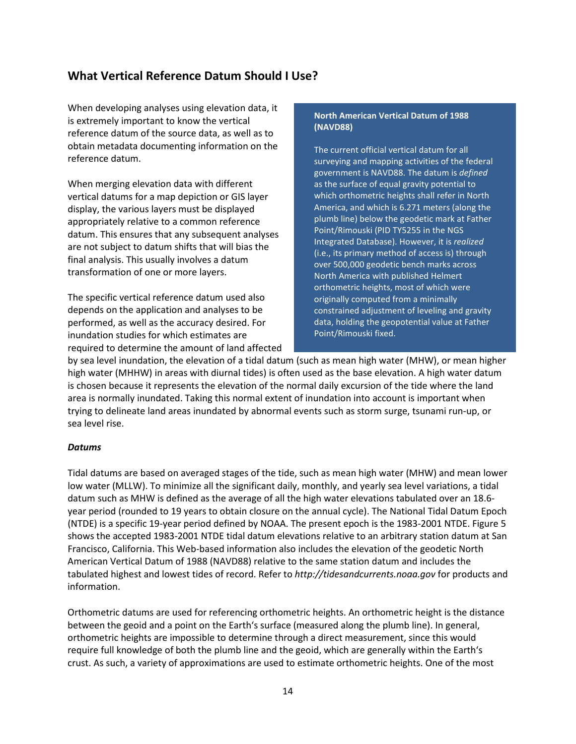### **What Vertical Reference Datum Should I Use?**

When developing analyses using elevation data, it is extremely important to know the vertical reference datum of the source data, as well as to obtain metadata documenting information on the reference datum.

When merging elevation data with different vertical datums for a map depiction or GIS layer display, the various layers must be displayed appropriately relative to a common reference datum. This ensures that any subsequent analyses are not subject to datum shifts that will bias the final analysis. This usually involves a datum transformation of one or more layers.

The specific vertical reference datum used also depends on the application and analyses to be performed, as well as the accuracy desired. For inundation studies for which estimates are required to determine the amount of land affected

#### **North American Vertical Datum of 1988 (NAVD88)**

The current official vertical datum for all surveying and mapping activities of the federal government is NAVD88. The datum is *defined*  as the surface of equal gravity potential to which orthometric heights shall refer in North America, and which is 6.271 meters (along the plumb line) below the geodetic mark at Father Point/Rimouski (PID TY5255 in the NGS Integrated Database). However, it is *realized*  (i.e., its primary method of access is) through over 500,000 geodetic bench marks across North America with published Helmert orthometric heights, most of which were originally computed from a minimally constrained adjustment of leveling and gravity data, holding the geopotential value at Father Point/Rimouski fixed.

by sea level inundation, the elevation of a tidal datum (such as mean high water (MHW), or mean higher high water (MHHW) in areas with diurnal tides) is often used as the base elevation. A high water datum is chosen because it represents the elevation of the normal daily excursion of the tide where the land area is normally inundated. Taking this normal extent of inundation into account is important when trying to delineate land areas inundated by abnormal events such as storm surge, tsunami run-up, or sea level rise.

#### <span id="page-17-0"></span>*Datums*

Tidal datums are based on averaged stages of the tide, such as mean high water (MHW) and mean lower low water (MLLW). To minimize all the significant daily, monthly, and yearly sea level variations, a tidal datum such as MHW is defined as the average of all the high water elevations tabulated over an 18.6 year period (rounded to 19 years to obtain closure on the annual cycle). The National Tidal Datum Epoch (NTDE) is a specific 19-year period defined by NOAA. The present epoch is the 1983-2001 NTDE. Figure 5 shows the accepted 1983-2001 NTDE tidal datum elevations relative to an arbitrary station datum at San Francisco, California. This Web-based information also includes the elevation of the geodetic North American Vertical Datum of 1988 (NAVD88) relative to the same station datum and includes the tabulated highest and lowest tides of record. Refer to *http://tidesandcurrents.noaa.gov* for products and information.

Orthometric datums are used for referencing orthometric heights. An orthometric height is the distance between the geoid and a point on the Earth's surface (measured along the plumb line). In general, orthometric heights are impossible to determine through a direct measurement, since this would require full knowledge of both the plumb line and the geoid, which are generally within the Earth's crust. As such, a variety of approximations are used to estimate orthometric heights. One of the most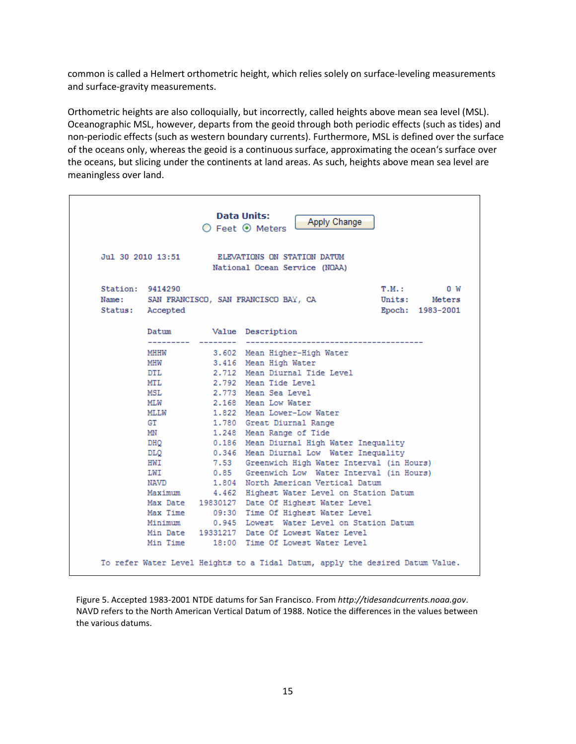common is called a Helmert orthometric height, which relies solely on surface-leveling measurements and surface-gravity measurements.

Orthometric heights are also colloquially, but incorrectly, called heights above mean sea level (MSL). Oceanographic MSL, however, departs from the geoid through both periodic effects (such as tides) and non-periodic effects (such as western boundary currents). Furthermore, MSL is defined over the surface of the oceans only, whereas the geoid is a continuous surface, approximating the ocean's surface over the oceans, but slicing under the continents at land areas. As such, heights above mean sea level are meaningless over land.

|                  |                   | Apply Change<br>$\bigcirc$ Feet $\odot$ Meters                                                     |
|------------------|-------------------|----------------------------------------------------------------------------------------------------|
|                  | Jul 30 2010 13:51 | ELEVATIONS ON STATION DATUM<br>National Ocean Service (NOAA)                                       |
| Station: 9414290 | Status: Accepted  | $T.M.$ :<br>0 W<br>Name: SAN FRANCISCO, SAN FRANCISCO BAY, CA<br>Units: Meters<br>Epoch: 1983-2001 |
|                  | Datum             | Value Description                                                                                  |
|                  | <b>MHHW</b>       | 3.602 Mean Higher-High Water                                                                       |
|                  | <b>MHW</b>        | 3.416 Mean High Water                                                                              |
|                  | <b>DTL</b>        | 2.712 Mean Diurnal Tide Level                                                                      |
|                  | MTI.              | 2.792 Mean Tide Level                                                                              |
|                  | MSL               | 2.773 Mean Sea Level                                                                               |
|                  | <b>MLW</b>        | 2.168 Mean Low Water                                                                               |
|                  | MT.LW             | 1.822 Mean Lower-Low Water                                                                         |
|                  | GT                | 1.780 Great Diurnal Range                                                                          |
|                  | <b>MN</b>         | 1.248 Mean Range of Tide                                                                           |
|                  | DHO               | 0.186 Mean Diurnal High Water Inequality                                                           |
|                  | DLQ               | 0.346 Mean Diurnal Low Water Inequality                                                            |
|                  | HWI               | 7.53 Greenwich High Water Interval (in Hours)                                                      |
|                  | T.WT              | 0.85 Greenwich Low Water Interval (in Hours)                                                       |
|                  | NAVD              | 1.804 North American Vertical Datum                                                                |
|                  | Maximum           | 4.462 Highest Water Level on Station Datum                                                         |
|                  |                   | Max Date 19830127 Date Of Highest Water Level                                                      |
|                  | Max Time          | 09:30 Time Of Highest Water Level                                                                  |
|                  | Minimum           | 0.945 Lowest Water Level on Station Datum                                                          |
|                  |                   | Min Date 19331217 Date Of Lowest Water Level<br>Min Time 18:00 Time Of Lowest Water Level          |

Figure 5. Accepted 1983-2001 NTDE datums for San Francisco. From *http://tidesandcurrents.noaa.gov*. NAVD refers to the North American Vertical Datum of 1988. Notice the differences in the values between the various datums.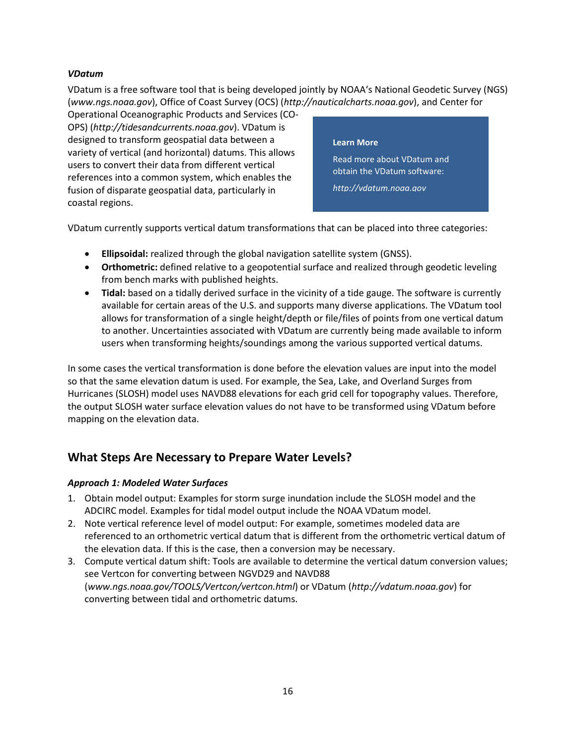#### <span id="page-19-0"></span>*VDatum*

VDatum is a free software tool that is being developed jointly by NOAA's National Geodetic Survey (NGS) (*www.ngs.noaa.gov*), Office of Coast Survey (OCS) (*http://nauticalcharts.noaa.gov*), and Center for

Operational Oceanographic Products and Services (CO-OPS) (*http://tidesandcurrents.noaa.gov*). VDatum is designed to transform geospatial data between a variety of vertical (and horizontal) datums. This allows users to convert their data from different vertical references into a common system, which enables the fusion of disparate geospatial data, particularly in coastal regions.

#### **Learn More**

Read more about VDatum and obtain the VDatum software:

*[http://vdatum.noaa.gov](http://vdatum.noaa.gov/)*

VDatum currently supports vertical datum transformations that can be placed into three categories:

- **Ellipsoidal:** realized through the global navigation satellite system (GNSS).
- **Orthometric:** defined relative to a geopotential surface and realized through geodetic leveling from bench marks with published heights.
- **Tidal:** based on a tidally derived surface in the vicinity of a tide gauge. The software is currently available for certain areas of the U.S. and supports many diverse applications. The VDatum tool allows for transformation of a single height/depth or file/files of points from one vertical datum to another. Uncertainties associated with VDatum are currently being made available to inform users when transforming heights/soundings among the various supported vertical datums.

In some cases the vertical transformation is done before the elevation values are input into the model so that the same elevation datum is used. For example, the Sea, Lake, and Overland Surges from Hurricanes (SLOSH) model uses NAVD88 elevations for each grid cell for topography values. Therefore, the output SLOSH water surface elevation values do not have to be transformed using VDatum before mapping on the elevation data.

### <span id="page-19-1"></span>**What Steps Are Necessary to Prepare Water Levels?**

#### <span id="page-19-2"></span>*Approach 1: Modeled Water Surfaces*

- 1. Obtain model output: Examples for storm surge inundation include the SLOSH model and the ADCIRC model. Examples for tidal model output include the NOAA VDatum model.
- 2. Note vertical reference level of model output: For example, sometimes modeled data are referenced to an orthometric vertical datum that is different from the orthometric vertical datum of the elevation data. If this is the case, then a conversion may be necessary.
- 3. Compute vertical datum shift: Tools are available to determine the vertical datum conversion values; see Vertcon for converting between NGVD29 and NAVD88 (*www.ngs.noaa.gov/TOOLS/Vertcon/vertcon.html*) or VDatum (*http://vdatum.noaa.gov*) for converting between tidal and orthometric datums.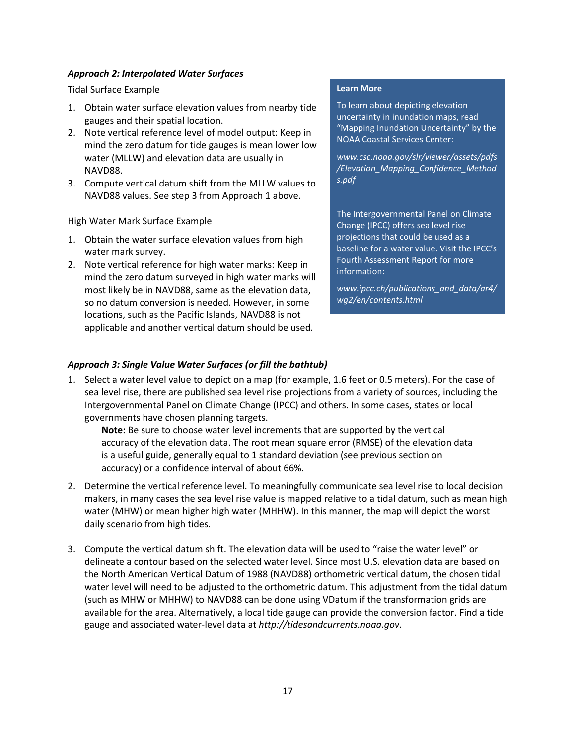#### <span id="page-20-0"></span>*Approach 2: Interpolated Water Surfaces*

#### Tidal Surface Example

- 1. Obtain water surface elevation values from nearby tide gauges and their spatial location.
- 2. Note vertical reference level of model output: Keep in mind the zero datum for tide gauges is mean lower low water (MLLW) and elevation data are usually in NAVD88.
- 3. Compute vertical datum shift from the MLLW values to NAVD88 values. See step 3 from Approach 1 above.

High Water Mark Surface Example

- 1. Obtain the water surface elevation values from high water mark survey.
- 2. Note vertical reference for high water marks: Keep in mind the zero datum surveyed in high water marks will most likely be in NAVD88, same as the elevation data, so no datum conversion is needed. However, in some locations, such as the Pacific Islands, NAVD88 is not applicable and another vertical datum should be used.

#### **Learn More**

To learn about depicting elevation uncertainty in inundation maps, read ["Mapping Inundation Uncertainty"](http://www.csc.noaa.gov/slr/viewer/assets/pdfs/Elevation_Mapping_Confidence_Methods.pdf) by the NOAA Coastal Services Center:

*[www.csc.noaa.gov/slr/viewer/assets/pdfs](http://www.csc.noaa.gov/slr/viewer/assets/pdfs/Elevation_Mapping_Confidence_Methods.pdf) [/Elevation\\_Mapping\\_Confidence\\_Method](http://www.csc.noaa.gov/slr/viewer/assets/pdfs/Elevation_Mapping_Confidence_Methods.pdf) [s.pdf](http://www.csc.noaa.gov/slr/viewer/assets/pdfs/Elevation_Mapping_Confidence_Methods.pdf)*

The Intergovernmental Panel on Climate Change (IPCC) offers sea level rise projections that could be used as a baseline for a water value. Visit the IPCC's Fourth Assessment Report for more information:

*www.ipcc.ch/publications\_and\_data/ar4/ wg2/en/contents.html*

#### <span id="page-20-1"></span>*Approach 3: Single Value Water Surfaces (or fill the bathtub)*

1. Select a water level value to depict on a map (for example, 1.6 feet or 0.5 meters). For the case of sea level rise, there are published sea level rise projections from a variety of sources, including the Intergovernmental Panel on Climate Change (IPCC) and others. In some cases, states or local governments have chosen planning targets.

**Note:** Be sure to choose water level increments that are supported by the vertical accuracy of the elevation data. The root mean square error (RMSE) of the elevation data is a useful guide, generally equal to 1 standard deviation (see previous section on accuracy) or a confidence interval of about 66%.

- 2. Determine the vertical reference level. To meaningfully communicate sea level rise to local decision makers, in many cases the sea level rise value is mapped relative to a tidal datum, such as mean high water (MHW) or mean higher high water (MHHW). In this manner, the map will depict the worst daily scenario from high tides.
- 3. Compute the vertical datum shift. The elevation data will be used to "raise the water level" or delineate a contour based on the selected water level. Since most U.S. elevation data are based on the North American Vertical Datum of 1988 (NAVD88) orthometric vertical datum, the chosen tidal water level will need to be adjusted to the orthometric datum. This adjustment from the tidal datum (such as MHW or MHHW) to NAVD88 can be done using VDatum if the transformation grids are available for the area. Alternatively, a local tide gauge can provide the conversion factor. Find a tide gauge and associated water-level data at *http://tidesandcurrents.noaa.gov*.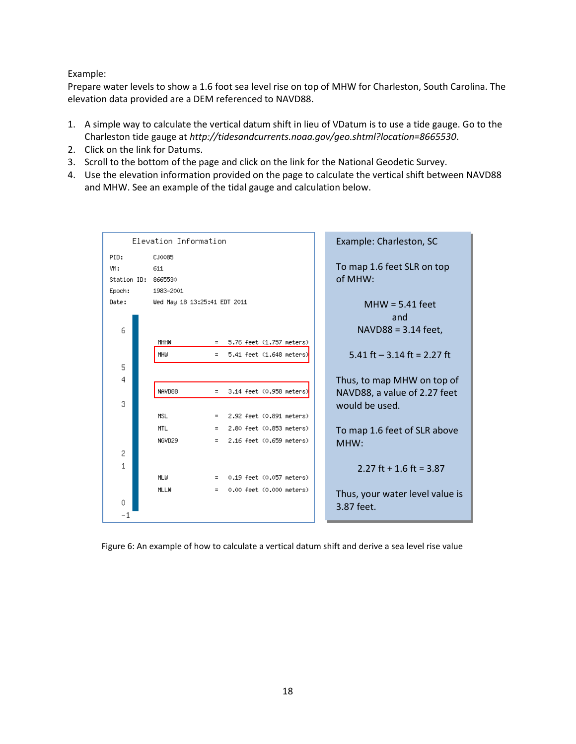#### Example:

Prepare water levels to show a 1.6 foot sea level rise on top of MHW for Charleston, South Carolina. The elevation data provided are a DEM referenced to NAVD88.

- 1. A simple way to calculate the vertical datum shift in lieu of VDatum is to use a tide gauge. Go to the Charleston tide gauge at *http://tidesandcurrents.noaa.gov/geo.shtml?location=8665530*.
- 2. Click on the link for Datums.
- 3. Scroll to the bottom of the page and click on the link for the National Geodetic Survey.
- 4. Use the elevation information provided on the page to calculate the vertical shift between NAVD88 and MHW. See an example of the tidal gauge and calculation below.

| Elevation Information  |                              |     |  |                            |  | Example: Charleston, SC         |
|------------------------|------------------------------|-----|--|----------------------------|--|---------------------------------|
| PID:                   | CJ0085                       |     |  |                            |  |                                 |
| VM:<br>611             |                              |     |  | To map 1.6 feet SLR on top |  |                                 |
| Station ID:<br>8665530 |                              |     |  | of MHW:                    |  |                                 |
| Epoch:                 | 1983-2001                    |     |  |                            |  |                                 |
| Date:                  | Wed May 18 13:25:41 EDT 2011 |     |  |                            |  | $MHW = 5.41$ feet               |
|                        |                              |     |  |                            |  | and                             |
| 6                      |                              |     |  |                            |  | NAVD88 = 3.14 feet,             |
|                        | MHHW                         | $=$ |  | 5.76 feet (1.757 meters)   |  |                                 |
|                        | MHW                          | $=$ |  | 5.41 feet (1.648 meters)   |  | 5.41 ft $-$ 3.14 ft = 2.27 ft   |
| 5                      |                              |     |  |                            |  |                                 |
| 4                      |                              |     |  |                            |  | Thus, to map MHW on top of      |
|                        | NAVD88                       | $=$ |  | 3.14 feet (0.958 meters)   |  | NAVD88, a value of 2.27 feet    |
| 3                      |                              |     |  |                            |  | would be used.                  |
|                        | <b>MSL</b>                   | $=$ |  | 2.92 feet (0.891 meters)   |  |                                 |
|                        | <b>MTL</b>                   | $=$ |  | 2.80 feet (0.853 meters)   |  | To map 1.6 feet of SLR above    |
|                        | NGVD29                       | $=$ |  | 2.16 feet (0.659 meters)   |  | MHW:                            |
| 2                      |                              |     |  |                            |  |                                 |
| 1                      |                              |     |  |                            |  | 2.27 ft + 1.6 ft = $3.87$       |
|                        | MLW                          | $=$ |  | 0.19 feet (0.057 meters)   |  |                                 |
|                        | MLLW                         | $=$ |  | 0.00 feet (0.000 meters)   |  | Thus, your water level value is |
| 0                      |                              |     |  |                            |  | 3.87 feet.                      |
| $^{-1}$                |                              |     |  |                            |  |                                 |

Figure 6: An example of how to calculate a vertical datum shift and derive a sea level rise value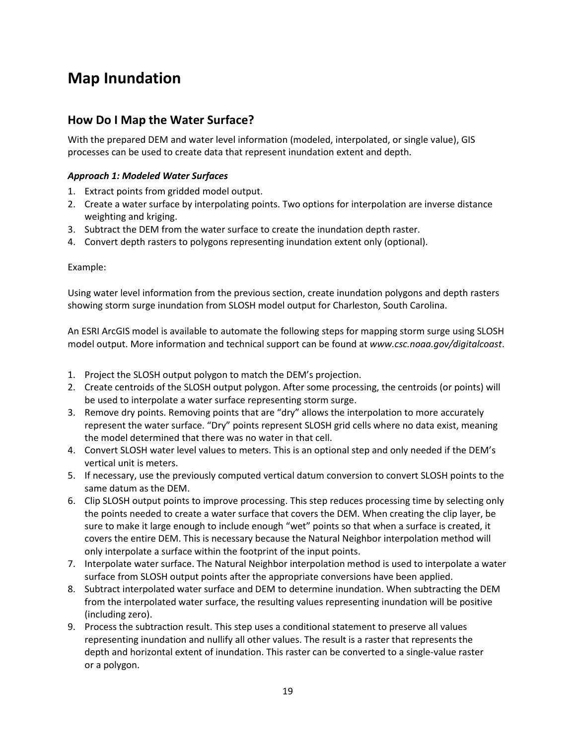## <span id="page-22-0"></span>**Map Inundation**

### <span id="page-22-1"></span>**How Do I Map the Water Surface?**

With the prepared DEM and water level information (modeled, interpolated, or single value), GIS processes can be used to create data that represent inundation extent and depth.

#### <span id="page-22-2"></span>*Approach 1: Modeled Water Surfaces*

- 1. Extract points from gridded model output.
- 2. Create a water surface by interpolating points. Two options for interpolation are inverse distance weighting and kriging.
- 3. Subtract the DEM from the water surface to create the inundation depth raster.
- 4. Convert depth rasters to polygons representing inundation extent only (optional).

#### Example:

Using water level information from the previous section, create inundation polygons and depth rasters showing storm surge inundation from SLOSH model output for Charleston, South Carolina.

An ESRI ArcGIS model is available to automate the following steps for mapping storm surge using SLOSH model output. More information and technical support can be found at *www.csc.noaa.gov/digitalcoast*.

- 1. Project the SLOSH output polygon to match the DEM's projection.
- 2. Create centroids of the SLOSH output polygon. After some processing, the centroids (or points) will be used to interpolate a water surface representing storm surge.
- 3. Remove dry points. Removing points that are "dry" allows the interpolation to more accurately represent the water surface. "Dry" points represent SLOSH grid cells where no data exist, meaning the model determined that there was no water in that cell.
- 4. Convert SLOSH water level values to meters. This is an optional step and only needed if the DEM's vertical unit is meters.
- 5. If necessary, use the previously computed vertical datum conversion to convert SLOSH points to the same datum as the DEM.
- 6. Clip SLOSH output points to improve processing. This step reduces processing time by selecting only the points needed to create a water surface that covers the DEM. When creating the clip layer, be sure to make it large enough to include enough "wet" points so that when a surface is created, it covers the entire DEM. This is necessary because the Natural Neighbor interpolation method will only interpolate a surface within the footprint of the input points.
- 7. Interpolate water surface. The Natural Neighbor interpolation method is used to interpolate a water surface from SLOSH output points after the appropriate conversions have been applied.
- 8. Subtract interpolated water surface and DEM to determine inundation. When subtracting the DEM from the interpolated water surface, the resulting values representing inundation will be positive (including zero).
- 9. Process the subtraction result. This step uses a conditional statement to preserve all values representing inundation and nullify all other values. The result is a raster that represents the depth and horizontal extent of inundation. This raster can be converted to a single-value raster or a polygon.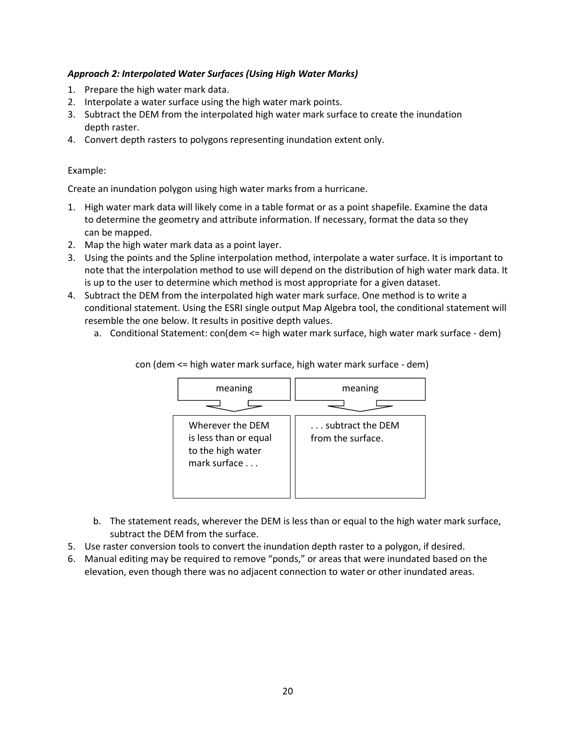#### <span id="page-23-0"></span>*Approach 2: Interpolated Water Surfaces (Using High Water Marks)*

- 1. Prepare the high water mark data.
- 2. Interpolate a water surface using the high water mark points.
- 3. Subtract the DEM from the interpolated high water mark surface to create the inundation depth raster.
- 4. Convert depth rasters to polygons representing inundation extent only.

#### Example:

Create an inundation polygon using high water marks from a hurricane.

- 1. High water mark data will likely come in a table format or as a point shapefile. Examine the data to determine the geometry and attribute information. If necessary, format the data so they can be mapped.
- 2. Map the high water mark data as a point layer.
- 3. Using the points and the Spline interpolation method, interpolate a water surface. It is important to note that the interpolation method to use will depend on the distribution of high water mark data. It is up to the user to determine which method is most appropriate for a given dataset.
- 4. Subtract the DEM from the interpolated high water mark surface. One method is to write a conditional statement. Using the ESRI single output Map Algebra tool, the conditional statement will resemble the one below. It results in positive depth values.
	- a. Conditional Statement: con(dem <= high water mark surface, high water mark surface dem)



con (dem <= high water mark surface, high water mark surface - dem)

- b. The statement reads, wherever the DEM is less than or equal to the high water mark surface, subtract the DEM from the surface.
- 5. Use raster conversion tools to convert the inundation depth raster to a polygon, if desired.
- 6. Manual editing may be required to remove "ponds," or areas that were inundated based on the elevation, even though there was no adjacent connection to water or other inundated areas.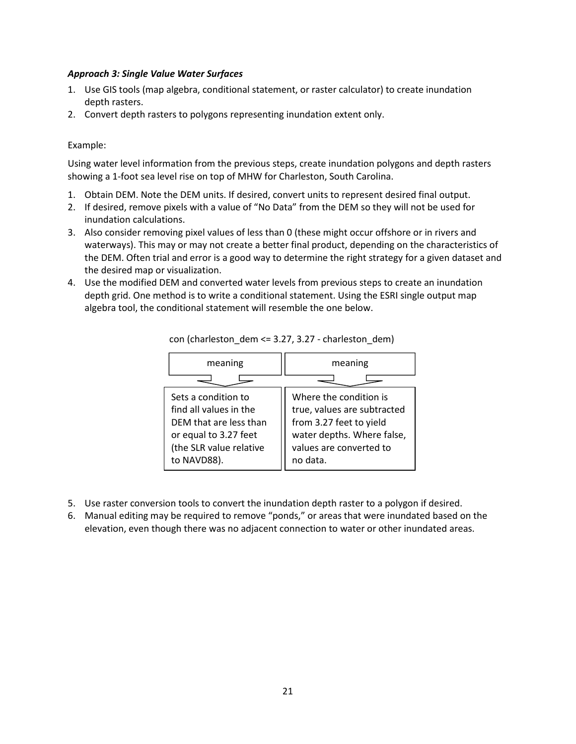#### <span id="page-24-0"></span>*Approach 3: Single Value Water Surfaces*

- 1. Use GIS tools (map algebra, conditional statement, or raster calculator) to create inundation depth rasters.
- 2. Convert depth rasters to polygons representing inundation extent only.

#### Example:

Using water level information from the previous steps, create inundation polygons and depth rasters showing a 1-foot sea level rise on top of MHW for Charleston, South Carolina.

- 1. Obtain DEM. Note the DEM units. If desired, convert units to represent desired final output.
- 2. If desired, remove pixels with a value of "No Data" from the DEM so they will not be used for inundation calculations.
- 3. Also consider removing pixel values of less than 0 (these might occur offshore or in rivers and waterways). This may or may not create a better final product, depending on the characteristics of the DEM. Often trial and error is a good way to determine the right strategy for a given dataset and the desired map or visualization.
- 4. Use the modified DEM and converted water levels from previous steps to create an inundation depth grid. One method is to write a conditional statement. Using the ESRI single output map algebra tool, the conditional statement will resemble the one below.

| meaning                                                                                                                                    | meaning                                                                                                                                               |  |  |
|--------------------------------------------------------------------------------------------------------------------------------------------|-------------------------------------------------------------------------------------------------------------------------------------------------------|--|--|
|                                                                                                                                            |                                                                                                                                                       |  |  |
| Sets a condition to<br>find all values in the<br>DEM that are less than<br>or equal to 3.27 feet<br>(the SLR value relative<br>to NAVD88). | Where the condition is<br>true, values are subtracted<br>from 3.27 feet to yield<br>water depths. Where false,<br>values are converted to<br>no data. |  |  |

con (charleston dem  $\leq$  3.27, 3.27 - charleston dem)

- 5. Use raster conversion tools to convert the inundation depth raster to a polygon if desired.
- 6. Manual editing may be required to remove "ponds," or areas that were inundated based on the elevation, even though there was no adjacent connection to water or other inundated areas.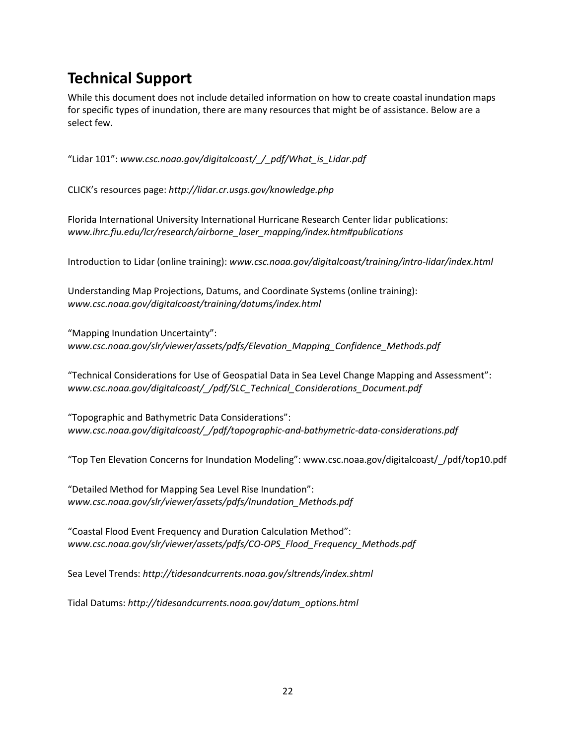## <span id="page-25-0"></span>**Technical Support**

While this document does not include detailed information on how to create coastal inundation maps for specific types of inundation, there are many resources that might be of assistance. Below are a select few.

```
"Lidar 101": www.csc.noaa.gov/digitalcoast/_/_pdf/What_is_Lidar.pdf
```
CLICK's resources page: *http://lidar.cr.usgs.gov/knowledge.php*

Florida International University International Hurricane Research Center lidar publications: *www.ihrc.fiu.edu/lcr/research/airborne\_laser\_mapping/index.htm#publications*

Introduction to Lidar (online training): *www.csc.noaa.gov/digitalcoast/training/intro-lidar/index.html*

Understanding Map Projections, Datums, and Coordinate Systems (online training): *www.csc.noaa.gov/digitalcoast/training/datums/index.html*

"Mapping Inundation Uncertainty": *www.csc.noaa.gov/slr/viewer/assets/pdfs/Elevation\_Mapping\_Confidence\_Methods.pdf*

"Technical Considerations for Use of Geospatial Data in Sea Level Change Mapping and Assessment": *www.csc.noaa.gov/digitalcoast/\_/pdf/SLC\_Technical\_Considerations\_Document.pdf*

"Topographic and Bathymetric Data Considerations": *www.csc.noaa.gov/digitalcoast/\_/pdf/topographic-and-bathymetric-data-considerations.pdf*

"Top Ten Elevation Concerns for Inundation Modeling": www.csc.noaa.gov/digitalcoast/\_/pdf/top10.pdf

"Detailed Method for Mapping Sea Level Rise Inundation": *www.csc.noaa.gov/slr/viewer/assets/pdfs/Inundation\_Methods.pdf*

"Coastal Flood Event Frequency and Duration Calculation Method": *www.csc.noaa.gov/slr/viewer/assets/pdfs/CO-OPS\_Flood\_Frequency\_Methods.pdf*

Sea Level Trends: *http://tidesandcurrents.noaa.gov/sltrends/index.shtml*

Tidal Datums: *http://tidesandcurrents.noaa.gov/datum\_options.html*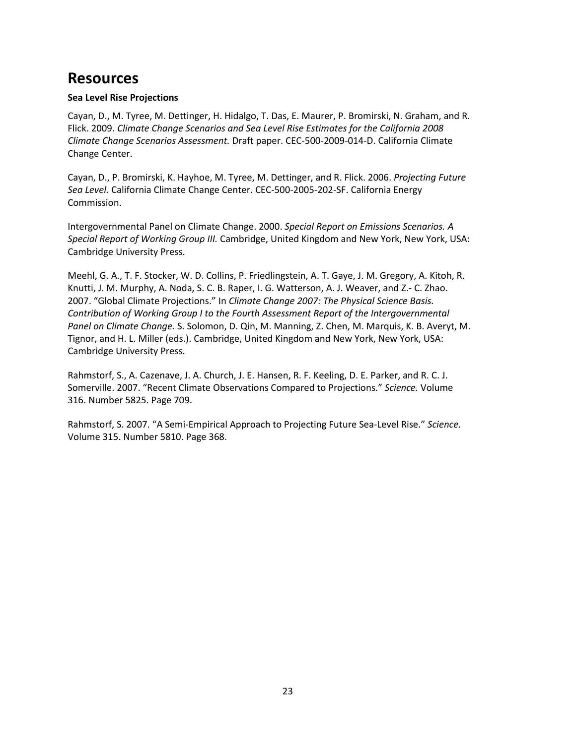## <span id="page-26-0"></span>**Resources**

#### **Sea Level Rise Projections**

Cayan, D., M. Tyree, M. Dettinger, H. Hidalgo, T. Das, E. Maurer, P. Bromirski, N. Graham, and R. Flick. 2009. *Climate Change Scenarios and Sea Level Rise Estimates for the California 2008 Climate Change Scenarios Assessment.* Draft paper. CEC-500-2009-014-D. California Climate Change Center.

Cayan, D., P. Bromirski, K. Hayhoe, M. Tyree, M. Dettinger, and R. Flick. 2006. *Projecting Future Sea Level.* California Climate Change Center. CEC-500-2005-202-SF. California Energy Commission.

Intergovernmental Panel on Climate Change. 2000. *Special Report on Emissions Scenarios. A Special Report of Working Group III.* Cambridge, United Kingdom and New York, New York, USA: Cambridge University Press.

Meehl, G. A., T. F. Stocker, W. D. Collins, P. Friedlingstein, A. T. Gaye, J. M. Gregory, A. Kitoh, R. Knutti, J. M. Murphy, A. Noda, S. C. B. Raper, I. G. Watterson, A. J. Weaver, and Z.- C. Zhao. 2007. "Global Climate Projections." In *Climate Change 2007: The Physical Science Basis. Contribution of Working Group I to the Fourth Assessment Report of the Intergovernmental Panel on Climate Change.* S. Solomon, D. Qin, M. Manning, Z. Chen, M. Marquis, K. B. Averyt, M. Tignor, and H. L. Miller (eds.). Cambridge, United Kingdom and New York, New York, USA: Cambridge University Press.

Rahmstorf, S., A. Cazenave, J. A. Church, J. E. Hansen, R. F. Keeling, D. E. Parker, and R. C. J. Somerville. 2007. "Recent Climate Observations Compared to Projections." *Science.* Volume 316. Number 5825. Page 709.

<span id="page-26-1"></span>Rahmstorf, S. 2007. "A Semi-Empirical Approach to Projecting Future Sea-Level Rise." *Science.* Volume 315. Number 5810. Page 368.